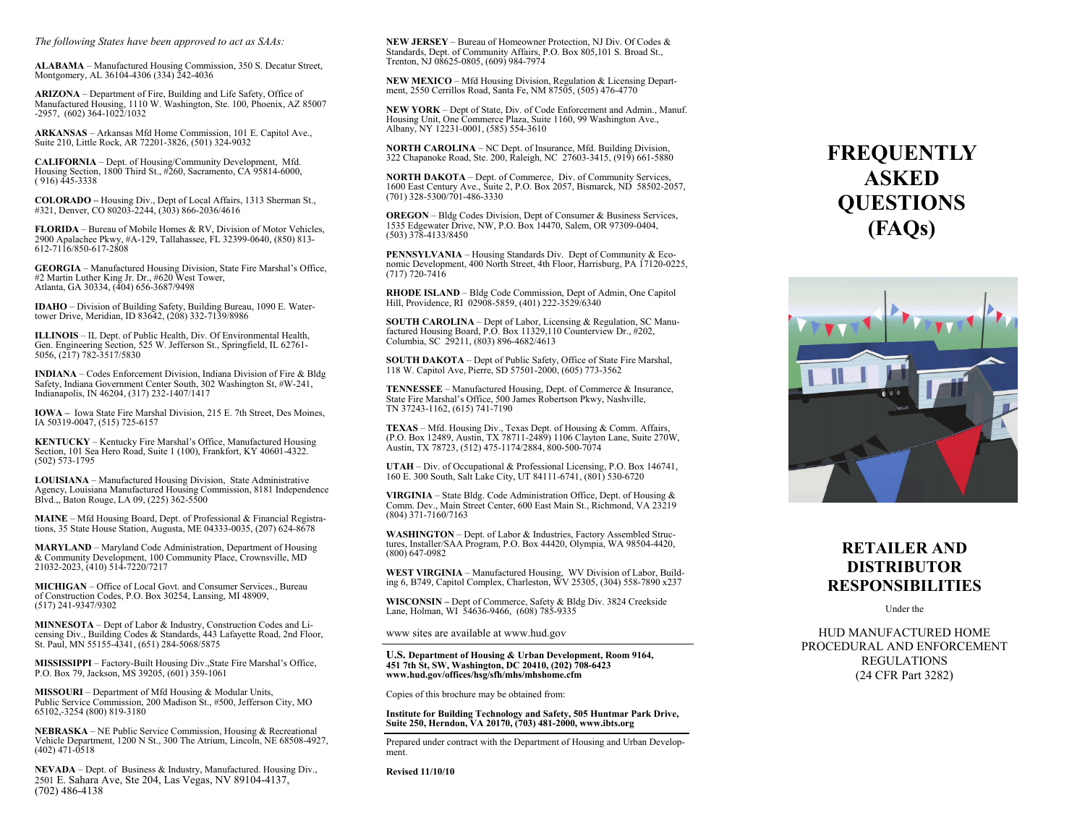*The following States have been approved to act as SAAs:*

**ALABAMA** – Manufactured Housing Commission, 350 S. Decatur Street, Montgomery, AL 36104-4306 (334) 242-4036

**ARIZONA** – Department of Fire, Building and Life Safety, Office of Manufactured Housing, 1110 W. Washington, Ste. 100, Phoenix, AZ 85007 -2957, (602) 364-1022/1032

**ARKANSAS** – Arkansas Mfd Home Commission, 101 E. Capitol Ave., Suite 210, Little Rock, AR 72201-3826, (501) 324-9032

**CALIFORNIA** – Dept. of Housing/Community Development, Mfd. Housing Section, 1800 Third St., #260, Sacramento, CA 95814-6000,  $(916)$  445-3338

**COLORADO –** Housing Div., Dept of Local Affairs, 1313 Sherman St., #321, Denver, CO 80203-2244, (303) 866-2036/4616

**FLORIDA** – Bureau of Mobile Homes & RV, Division of Motor Vehicles, 2900 Apalachee Pkwy, #A-129, Tallahassee, FL 32399-0640, (850) 813- 612-7116/850-617-2808

**GEORGIA** – Manufactured Housing Division, State Fire Marshal's Office, #2 Martin Luther King Jr. Dr., #620 West Tower, Atlanta, GA 30334, (404) 656-3687/9498

**IDAHO** – Division of Building Safety, Building Bureau, 1090 E. Watertower Drive, Meridian, ID 83642, (208) 332-7139/8986

**ILLINOIS** – IL Dept. of Public Health, Div. Of Environmental Health, Gen. Engineering Section, 525 W. Jefferson St., Springfield, IL 62761-5056, (217) 782-3517/5830

**INDIANA** – Codes Enforcement Division, Indiana Division of Fire & Bldg Safety, Indiana Government Center South, 302 Washington St, #W-241, Indianapolis, IN 46204, (317) 232-1407/1417

**IOWA –** Iowa State Fire Marshal Division, 215 E. 7th Street, Des Moines, IA 50319-0047, (515) 725-6157

**KENTUCKY** – Kentucky Fire Marshal's Office, Manufactured Housing Section, 101 Sea Hero Road, Suite 1 (100), Frankfort, KY 40601-4322. (502) 573-1795

**LOUISIANA** – Manufactured Housing Division, State Administrative Agency, Louisiana Manufactured Housing Commission, 8181 Independence Blvd.,, Baton Rouge, LA 09, (225) 362-5500

**MAINE** – Mfd Housing Board, Dept. of Professional & Financial Registrations, 35 State House Station, Augusta, ME 04333-0035, (207) 624-8678

**MARYLAND** – Maryland Code Administration, Department of Housing & Community Development, 100 Community Place, Crownsville, MD 21032-2023, (410) 514-7220/7217

**MICHIGAN** – Office of Local Govt. and Consumer Services., Bureau of Construction Codes, P.O. Box 30254, Lansing, MI 48909, (517) 241-9347/9302

**MINNESOTA** – Dept of Labor & Industry, Construction Codes and Licensing Div., Building Codes & Standards, 443 Lafayette Road, 2nd Floor, St. Paul, MN 55155-4341, (651) 284-5068/5875

**MISSISSIPPI** – Factory-Built Housing Div.,State Fire Marshal's Office, P.O. Box 79, Jackson, MS 39205, (601) 359-1061

**MISSOURI** – Department of Mfd Housing & Modular Units, Public Service Commission, 200 Madison St., #500, Jefferson City, MO 65102,-3254 (800) 819-3180

**NEBRASKA** – NE Public Service Commission, Housing & Recreational Vehicle Department, 1200 N St., 300 The Atrium, Lincoln, NE 68508-4927, (402) 471-0518

**NEVADA** – Dept. of Business & Industry, Manufactured. Housing Div., 2501 E. Sahara Ave, Ste 204, Las Vegas, NV 89104-4137, (702) 486-4138

**NEW JERSEY** – Bureau of Homeowner Protection, NJ Div. Of Codes & Standards, Dept. of Community Affairs, P.O. Box 805,101 S. Broad St., Trenton, NJ 08625-0805, (609) 984-7974

**NEW MEXICO** – Mfd Housing Division, Regulation & Licensing Department, 2550 Cerrillos Road, Santa Fe, NM 87505, (505) 476-4770

**NEW YORK** – Dept of State, Div. of Code Enforcement and Admin., Manuf. Housing Unit, One Commerce Plaza, Suite 1160, 99 Washington Ave., Albany, NY 12231-0001, (585) 554-3610

**NORTH CAROLINA** – NC Dept. of Insurance, Mfd. Building Division, 322 Chapanoke Road, Ste. 200, Raleigh, NC 27603-3415, (919) 661-5880

**NORTH DAKOTA** – Dept. of Commerce, Div. of Community Services, 1600 East Century Ave., Suite 2, P.O. Box 2057, Bismarck, ND 58502-2057, (701) 328-5300/701-486-3330

**OREGON** – Bldg Codes Division, Dept of Consumer & Business Services, 1535 Edgewater Drive, NW, P.O. Box 14470, Salem, OR 97309-0404, (503) 378-4133/8450

**PENNSYLVANIA** – Housing Standards Div. Dept of Community & Economic Development, 400 North Street, 4th Floor, Harrisburg, PA 17120-0225, (717) 720-7416

**RHODE ISLAND** – Bldg Code Commission, Dept of Admin, One Capitol Hill, Providence, RI 02908-5859, (401) 222-3529/6340

**SOUTH CAROLINA** – Dept of Labor, Licensing & Regulation, SC Manu-<br>factured Housing Board, P.O. Box 11329,110 Counterview Dr., #202,<br>Columbia, SC 29211, (803) 896-4682/4613

**SOUTH DAKOTA** – Dept of Public Safety, Office of State Fire Marshal, 118 W. Capitol Ave, Pierre, SD 57501-2000, (605) 773-3562

**TENNESSEE** – Manufactured Housing, Dept. of Commerce & Insurance, State Fire Marshal's Office, 500 James Robertson Pkwy, Nashville, TN 37243-1162, (615) 741-7190

**TEXAS** – Mfd. Housing Div., Texas Dept. of Housing & Comm. Affairs, (P.O. Box 12489, Austin, TX 78711-2489) 1106 Clayton Lane, Suite 270W, Austin, TX 78723, (512) 475-1174/2884, 800-500-7074

**UTAH** – Div. of Occupational & Professional Licensing, P.O. Box 146741, 160 E. 300 South, Salt Lake City, UT 84111-6741, (801) 530-6720

**VIRGINIA** – State Bldg. Code Administration Office, Dept. of Housing & Comm. Dev., Main Street Center, 600 East Main St., Richmond, VA 23219 (804) 371-7160/7163

WASHINGTON – Dept. of Labor & Industries, Factory Assembled Structures, Installer/SAA Program, P.O. Box 44420, Olympia, WA 98504-4420, (800) 647-0982

**WEST VIRGINIA** – Manufactured Housing, WV Division of Labor, Build-ing 6, B749, Capitol Complex, Charleston, WV 25305, (304) 558-7890 x237

**WISCONSIN –** Dept of Commerce, Safety & Bldg Div. 3824 Creekside Lane, Holman, WI 54636-9466, (608) 785-9335

www sites are available at www.hud.gov

#### **U.S. Department of Housing & Urban Development, Room 9164, 451 7th St, SW, Washington, DC 20410, (202) 708-6423 www.hud.gov/offices/hsg/sfh/mhs/mhshome.cfm**

Copies of this brochure may be obtained from:

## **Institute for Building Technology and Safety, 505 Huntmar Park Drive, Suite 250, Herndon, VA 20170, (703) 481-2000, www.ibts.org**

Prepared under contract with the Department of Housing and Urban Development.

**Revised 11/10/10** 

# **FREQUENTLY ASKED QUESTIONS (FAQs)**



## **RETAILER AND DISTRIBUTOR RESPONSIBILITIES**

Under the

HUD MANUFACTURED HOME PROCEDURAL AND ENFORCEMENT REGULATIONS (24 CFR Part 3282)